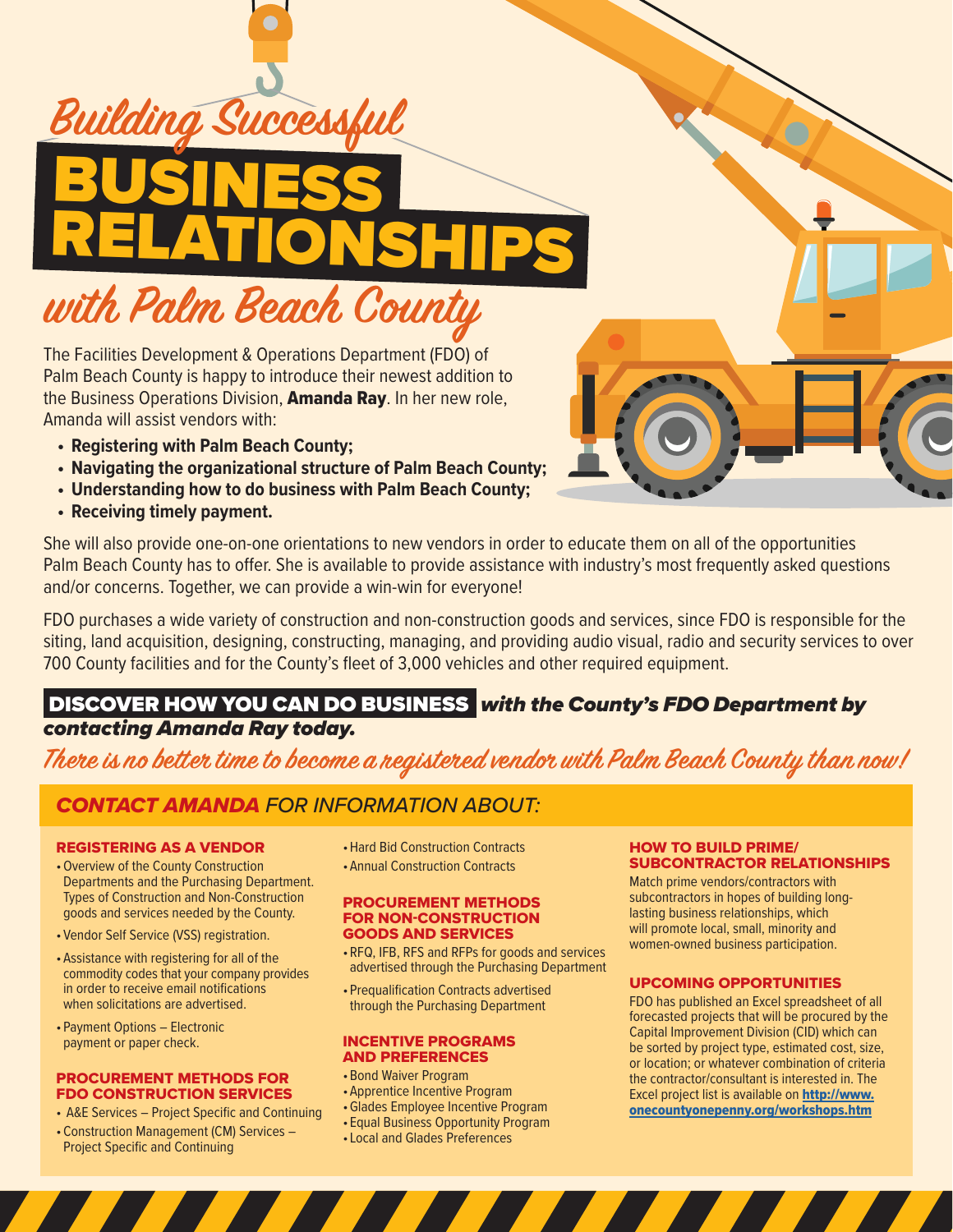

The Facilities Development & Operations Department (FDO) of Palm Beach County is happy to introduce their newest addition to the Business Operations Division, Amanda Ray. In her new role, Amanda will assist vendors with:

- **• Registering with Palm Beach County;**
- **• Navigating the organizational structure of Palm Beach County;**
- **• Understanding how to do business with Palm Beach County;**
- **• Receiving timely payment.**

She will also provide one-on-one orientations to new vendors in order to educate them on all of the opportunities Palm Beach County has to offer. She is available to provide assistance with industry's most frequently asked questions and/or concerns. Together, we can provide a win-win for everyone!

FDO purchases a wide variety of construction and non-construction goods and services, since FDO is responsible for the siting, land acquisition, designing, constructing, managing, and providing audio visual, radio and security services to over 700 County facilities and for the County's fleet of 3,000 vehicles and other required equipment.

## DISCOVER HOW YOU CAN DO BUSINESS *with the County's FDO Department by contacting Amanda Ray today.*

**There is no better time to become a registered vendor with Palm Beach County than now!** 

## *CONTACT AMANDA FOR INFORMATION ABOUT:*

### REGISTERING AS A VENDOR

- •Overview of the County Construction Departments and the Purchasing Department. Types of Construction and Non-Construction goods and services needed by the County.
- •Vendor Self Service (VSS) registration.
- •Assistance with registering for all of the commodity codes that your company provides in order to receive email notifications when solicitations are advertised.
- •Payment Options Electronic payment or paper check.

#### PROCUREMENT METHODS FOR FDO CONSTRUCTION SERVICES

- A&E Services Project Specific and Continuing
- •Construction Management (CM) Services Project Specific and Continuing
- •Hard Bid Construction Contracts
- •Annual Construction Contracts

#### PROCUREMENT METHODS FOR NON-CONSTRUCTION GOODS AND SERVICES

- •RFQ, IFB, RFS and RFPs for goods and services advertised through the Purchasing Department
- •Prequalification Contracts advertised through the Purchasing Department

#### INCENTIVE PROGRAMS AND PREFERENCES

- •Bond Waiver Program
- •Apprentice Incentive Program
- •Glades Employee Incentive Program
- Equal Business Opportunity Program
- Local and Glades Preferences

#### HOW TO BUILD PRIME/ SUBCONTRACTOR RELATIONSHIPS

Match prime vendors/contractors with subcontractors in hopes of building longlasting business relationships, which will promote local, small, minority and women-owned business participation.

#### UPCOMING OPPORTUNITIES

FDO has published an Excel spreadsheet of all forecasted projects that will be procured by the Capital Improvement Division (CID) which can be sorted by project type, estimated cost, size, or location; or whatever combination of criteria the contractor/consultant is interested in. The Excel project list is available on http://www. onecountyonepenny.org/workshops.htm